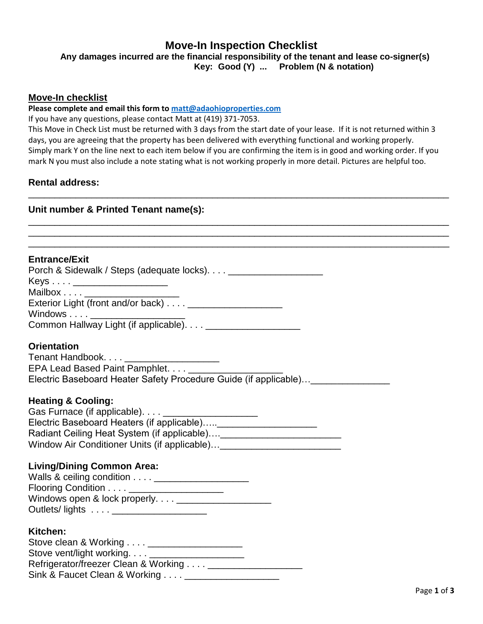# **Move-In Inspection Checklist**

 **Any damages incurred are the financial responsibility of the tenant and lease co-signer(s)**

**Key: Good (Y) ... Problem (N & notation)**

### **Move-In checklist**

#### **Please complete and email this form to [matt@adaohioproperties.com](mailto:matt@adaohioproperties.com)**

If you have any questions, please contact Matt at (419) 371-7053.

This Move in Check List must be returned with 3 days from the start date of your lease. If it is not returned within 3 days, you are agreeing that the property has been delivered with everything functional and working properly. Simply mark Y on the line next to each item below if you are confirming the item is in good and working order. If you mark N you must also include a note stating what is not working properly in more detail. Pictures are helpful too.

\_\_\_\_\_\_\_\_\_\_\_\_\_\_\_\_\_\_\_\_\_\_\_\_\_\_\_\_\_\_\_\_\_\_\_\_\_\_\_\_\_\_\_\_\_\_\_\_\_\_\_\_\_\_\_\_\_\_\_\_\_\_\_\_\_\_\_\_\_\_\_\_\_\_\_\_\_\_\_\_

## **Rental address:**

| Unit number & Printed Tenant name(s):                                                                                                                                                      |  |  |
|--------------------------------------------------------------------------------------------------------------------------------------------------------------------------------------------|--|--|
|                                                                                                                                                                                            |  |  |
| <b>Entrance/Exit</b><br>Keys ______________________                                                                                                                                        |  |  |
| Mailbox ______________________                                                                                                                                                             |  |  |
| <b>Orientation</b><br>Tenant Handbook. ______________________<br>EPA Lead Based Paint Pamphlet. _________<br>Electric Baseboard Heater Safety Procedure Guide (if applicable)_____________ |  |  |
| <b>Heating &amp; Cooling:</b><br>Gas Furnace (if applicable) ________________________<br>Window Air Conditioner Units (if applicable) ________________________________                     |  |  |
| <b>Living/Dining Common Area:</b><br>Walls & ceiling condition ______________________<br>Flooring Condition _______________________<br>Outlets/ lights _______________________             |  |  |
| Kitchen:<br>Stove clean & Working ________________________<br>Stove vent/light working_________________________<br>Sink & Faucet Clean & Working _______________________                   |  |  |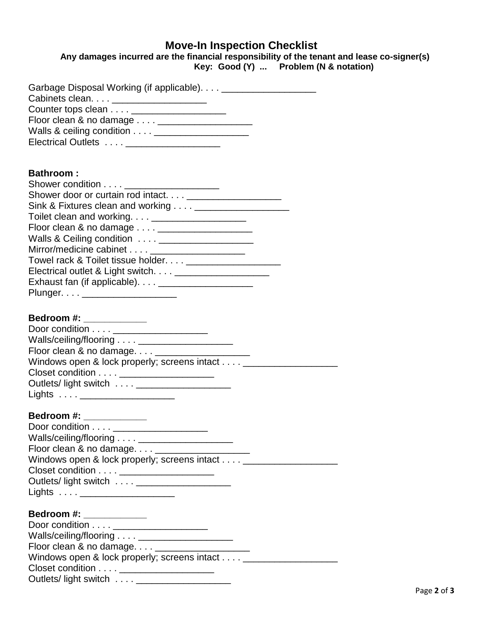# **Move-In Inspection Checklist**

# **Any damages incurred are the financial responsibility of the tenant and lease co-signer(s)**

**Key: Good (Y) ... Problem (N & notation)**

| Garbage Disposal Working (if applicable). _____________________<br>Cabinets clean. ______________________<br>Walls & ceiling condition ______________________                                                                                             |
|-----------------------------------------------------------------------------------------------------------------------------------------------------------------------------------------------------------------------------------------------------------|
| Electrical Outlets _____________________                                                                                                                                                                                                                  |
| <b>Bathroom:</b><br>Shower condition _______________________                                                                                                                                                                                              |
| Toilet clean and working. ______________________                                                                                                                                                                                                          |
| Floor clean & no damage ________________________<br>Walls & Ceiling condition ______________________                                                                                                                                                      |
| Electrical outlet & Light switch. ________________________                                                                                                                                                                                                |
| Exhaust fan (if applicable). ______________________                                                                                                                                                                                                       |
| Bedroom #: ____________<br>Door condition ______________________<br>Walls/ceiling/flooring ________________________<br>Windows open & lock properly; screens intact ___________________________<br>Closet condition ______________________                |
| Lights <u>_____________________</u> ___                                                                                                                                                                                                                   |
| Bedroom #: ____________<br>Door condition _______________________<br>Walls/ceiling/flooring _______________________<br>Windows open & lock properly; screens intact _____________                                                                         |
| Closet condition _______________________<br>Lights _______________________                                                                                                                                                                                |
| Bedroom #: _____________<br>Door condition <u>__________________</u><br>Walls/ceiling/flooring ________________________<br>Floor clean & no damage. _________________________<br>Windows open & lock properly; screens intact ___________________________ |
| Closet condition ______________________<br>Outlets/ light switch ________________________                                                                                                                                                                 |